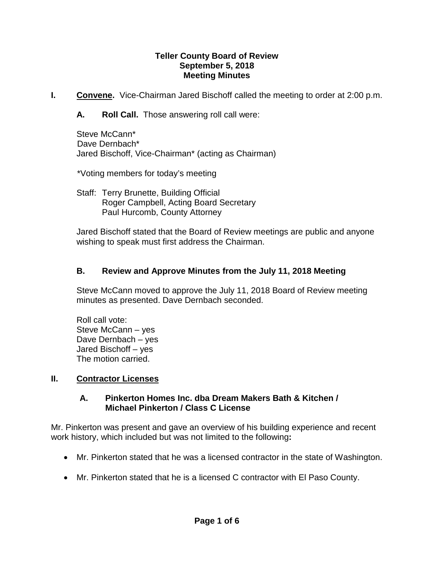#### **Teller County Board of Review September 5, 2018 Meeting Minutes**

**I. Convene.** Vice-Chairman Jared Bischoff called the meeting to order at 2:00 p.m.

**A. Roll Call.** Those answering roll call were:

Steve McCann\* Dave Dernbach\* Jared Bischoff, Vice-Chairman\* (acting as Chairman)

\*Voting members for today's meeting

Staff: Terry Brunette, Building Official Roger Campbell, Acting Board Secretary Paul Hurcomb, County Attorney

Jared Bischoff stated that the Board of Review meetings are public and anyone wishing to speak must first address the Chairman.

## **B. Review and Approve Minutes from the July 11, 2018 Meeting**

Steve McCann moved to approve the July 11, 2018 Board of Review meeting minutes as presented. Dave Dernbach seconded.

Roll call vote: Steve McCann – yes Dave Dernbach – yes Jared Bischoff – yes The motion carried.

## **II. Contractor Licenses**

### **A. Pinkerton Homes Inc. dba Dream Makers Bath & Kitchen / Michael Pinkerton / Class C License**

Mr. Pinkerton was present and gave an overview of his building experience and recent work history, which included but was not limited to the following**:**

- Mr. Pinkerton stated that he was a licensed contractor in the state of Washington.
- Mr. Pinkerton stated that he is a licensed C contractor with El Paso County.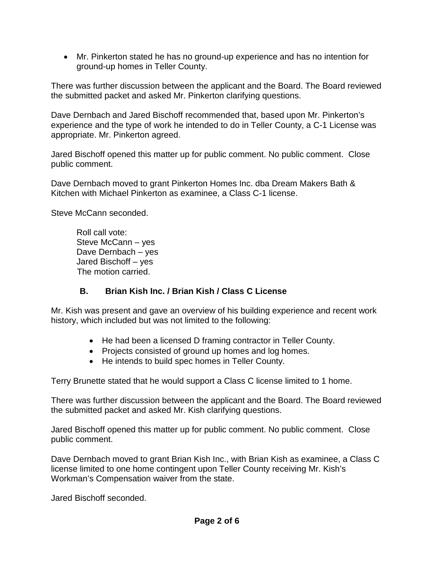• Mr. Pinkerton stated he has no ground-up experience and has no intention for ground-up homes in Teller County.

There was further discussion between the applicant and the Board. The Board reviewed the submitted packet and asked Mr. Pinkerton clarifying questions.

Dave Dernbach and Jared Bischoff recommended that, based upon Mr. Pinkerton's experience and the type of work he intended to do in Teller County, a C-1 License was appropriate. Mr. Pinkerton agreed.

Jared Bischoff opened this matter up for public comment. No public comment. Close public comment.

Dave Dernbach moved to grant Pinkerton Homes Inc. dba Dream Makers Bath & Kitchen with Michael Pinkerton as examinee, a Class C-1 license.

Steve McCann seconded.

Roll call vote: Steve McCann – yes Dave Dernbach – yes Jared Bischoff – yes The motion carried.

# **B. Brian Kish Inc. / Brian Kish / Class C License**

Mr. Kish was present and gave an overview of his building experience and recent work history, which included but was not limited to the following:

- He had been a licensed D framing contractor in Teller County.
- Projects consisted of ground up homes and log homes.
- He intends to build spec homes in Teller County.

Terry Brunette stated that he would support a Class C license limited to 1 home.

There was further discussion between the applicant and the Board. The Board reviewed the submitted packet and asked Mr. Kish clarifying questions.

Jared Bischoff opened this matter up for public comment. No public comment. Close public comment.

Dave Dernbach moved to grant Brian Kish Inc., with Brian Kish as examinee, a Class C license limited to one home contingent upon Teller County receiving Mr. Kish's Workman's Compensation waiver from the state.

Jared Bischoff seconded.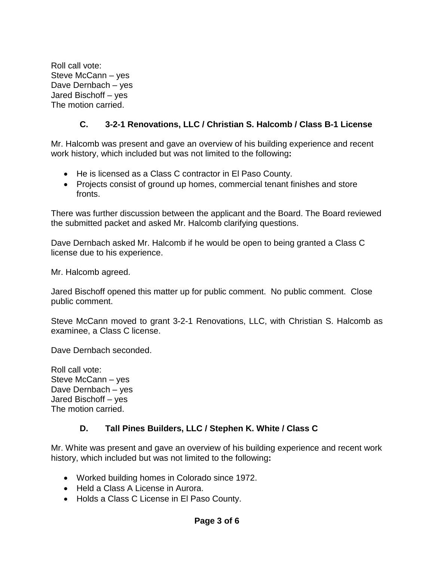Roll call vote: Steve McCann – yes Dave Dernbach – yes Jared Bischoff – yes The motion carried.

# **C. 3-2-1 Renovations, LLC / Christian S. Halcomb / Class B-1 License**

Mr. Halcomb was present and gave an overview of his building experience and recent work history, which included but was not limited to the following**:**

- He is licensed as a Class C contractor in El Paso County.
- Projects consist of ground up homes, commercial tenant finishes and store fronts.

There was further discussion between the applicant and the Board. The Board reviewed the submitted packet and asked Mr. Halcomb clarifying questions.

Dave Dernbach asked Mr. Halcomb if he would be open to being granted a Class C license due to his experience.

Mr. Halcomb agreed.

Jared Bischoff opened this matter up for public comment. No public comment. Close public comment.

Steve McCann moved to grant 3-2-1 Renovations, LLC, with Christian S. Halcomb as examinee, a Class C license.

Dave Dernbach seconded.

Roll call vote: Steve McCann – yes Dave Dernbach – yes Jared Bischoff – yes The motion carried.

# **D. Tall Pines Builders, LLC / Stephen K. White / Class C**

Mr. White was present and gave an overview of his building experience and recent work history, which included but was not limited to the following**:**

- Worked building homes in Colorado since 1972.
- Held a Class A License in Aurora.
- Holds a Class C License in El Paso County.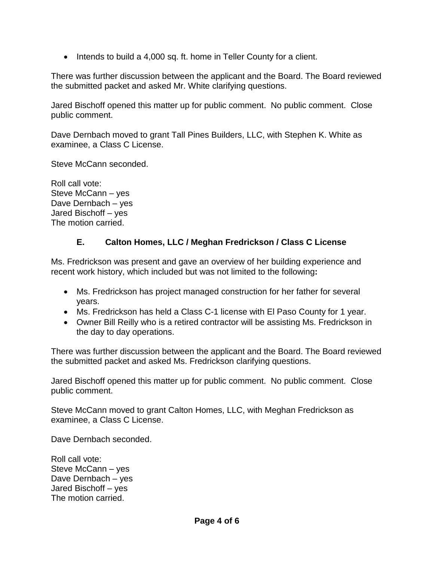• Intends to build a 4,000 sq. ft. home in Teller County for a client.

There was further discussion between the applicant and the Board. The Board reviewed the submitted packet and asked Mr. White clarifying questions.

Jared Bischoff opened this matter up for public comment. No public comment. Close public comment.

Dave Dernbach moved to grant Tall Pines Builders, LLC, with Stephen K. White as examinee, a Class C License.

Steve McCann seconded.

Roll call vote: Steve McCann – yes Dave Dernbach – yes Jared Bischoff – yes The motion carried.

## **E. Calton Homes, LLC / Meghan Fredrickson / Class C License**

Ms. Fredrickson was present and gave an overview of her building experience and recent work history, which included but was not limited to the following**:**

- Ms. Fredrickson has project managed construction for her father for several years.
- Ms. Fredrickson has held a Class C-1 license with El Paso County for 1 year.
- Owner Bill Reilly who is a retired contractor will be assisting Ms. Fredrickson in the day to day operations.

There was further discussion between the applicant and the Board. The Board reviewed the submitted packet and asked Ms. Fredrickson clarifying questions.

Jared Bischoff opened this matter up for public comment. No public comment. Close public comment.

Steve McCann moved to grant Calton Homes, LLC, with Meghan Fredrickson as examinee, a Class C License.

Dave Dernbach seconded.

Roll call vote: Steve McCann – yes Dave Dernbach – yes Jared Bischoff – yes The motion carried.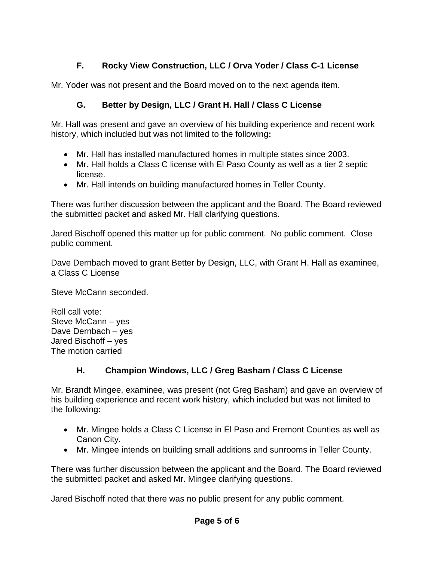# **F. Rocky View Construction, LLC / Orva Yoder / Class C-1 License**

Mr. Yoder was not present and the Board moved on to the next agenda item.

# **G. Better by Design, LLC / Grant H. Hall / Class C License**

Mr. Hall was present and gave an overview of his building experience and recent work history, which included but was not limited to the following**:**

- Mr. Hall has installed manufactured homes in multiple states since 2003.
- Mr. Hall holds a Class C license with El Paso County as well as a tier 2 septic license.
- Mr. Hall intends on building manufactured homes in Teller County.

There was further discussion between the applicant and the Board. The Board reviewed the submitted packet and asked Mr. Hall clarifying questions.

Jared Bischoff opened this matter up for public comment. No public comment. Close public comment.

Dave Dernbach moved to grant Better by Design, LLC, with Grant H. Hall as examinee, a Class C License

Steve McCann seconded.

Roll call vote: Steve McCann – yes Dave Dernbach – yes Jared Bischoff – yes The motion carried

# **H. Champion Windows, LLC / Greg Basham / Class C License**

Mr. Brandt Mingee, examinee, was present (not Greg Basham) and gave an overview of his building experience and recent work history, which included but was not limited to the following**:**

- Mr. Mingee holds a Class C License in El Paso and Fremont Counties as well as Canon City.
- Mr. Mingee intends on building small additions and sunrooms in Teller County.

There was further discussion between the applicant and the Board. The Board reviewed the submitted packet and asked Mr. Mingee clarifying questions.

Jared Bischoff noted that there was no public present for any public comment.